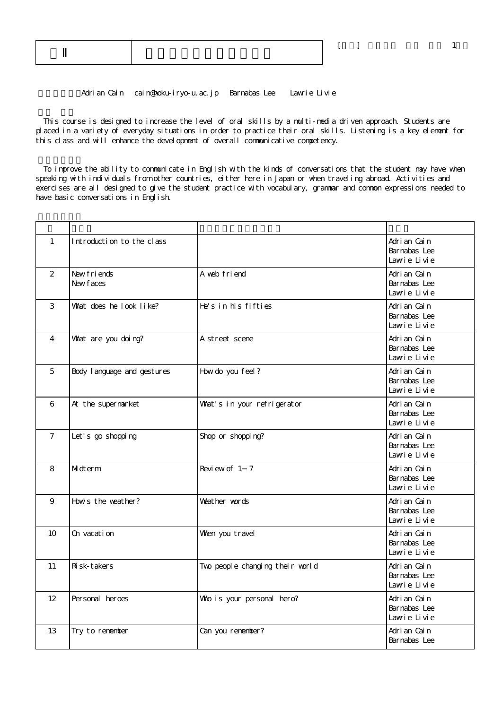Adrian Cain cain@hoku-iryo-u.ac.jp Barnabas Lee Lawrie Livie

 This course is designed to increase the level of oral skills by a multi-media driven approach. Students are placed in a variety of everyday situations in order to practice their oral skills. Listening is a key element for this class and will enhance the development of overall communicative competency.

 To improve the ability to communicate in English with the kinds of conversations that the student may have when speaking with individuals from other countries, either here in Japan or when traveling abroad. Activities and exercises are all designed to give the student practice with vocabulary, grammar and common expressions needed to have basic conversations in English.

| $\mathbf{1}$      | Introduction to the class   |                                 | Adrian Cain<br>Barnabas Lee<br>Lawrie Livie  |
|-------------------|-----------------------------|---------------------------------|----------------------------------------------|
| 2                 | New friends<br>New faces    | A web friend                    | Adrian Cain<br>Barnabas Lee<br>Lawrie Livie  |
| 3                 | What does he look like?     | He's in his fifties             | Adrian Cain<br>Barnabas Lee<br>Lawrie Livie  |
| 4                 | What are you doing?         | A street scene                  | Adrian Cain<br>Barnabas Lee<br>Lawrie Livie  |
| 5                 | Body I anguage and gestures | How do you feel?                | Adrian Cain<br>Barnabas Lee<br>Lawie Livie   |
| 6                 | At the supermarket          | What's in your refrigerator     | Adrian Cain<br>Barnabas Lee<br>Lawrie Livie  |
| $\overline{7}$    | Let's go shopping           | Shop or shopping?               | Adrian Cain<br>Barnabas Lee<br>Lawrie Livie  |
| 8                 | Midterm                     | Review of 1 7                   | Adrian Cain<br>Barnabas Lee<br>Lawrie Livie  |
| 9                 | How's the weather?          | Weather words                   | Adri an Cain<br>Barnabas Lee<br>Lawrie Livie |
| 10                | On vacation                 | When you travel                 | Adrian Cain<br>Barnabas Lee<br>Lawrie Livie  |
| 11                | Ri sk-takers                | Two people changing their world | Adrian Cain<br>Barnabas Lee<br>Lawie Livie   |
| $12 \overline{ }$ | Personal heroes             | Who is your personal hero?      | Adri an Cain<br>Barnabas Lee<br>Lawie Livie  |
| 13                | Try to remember             | Can you remember?               | Adrian Cain<br>Barnabas Lee                  |